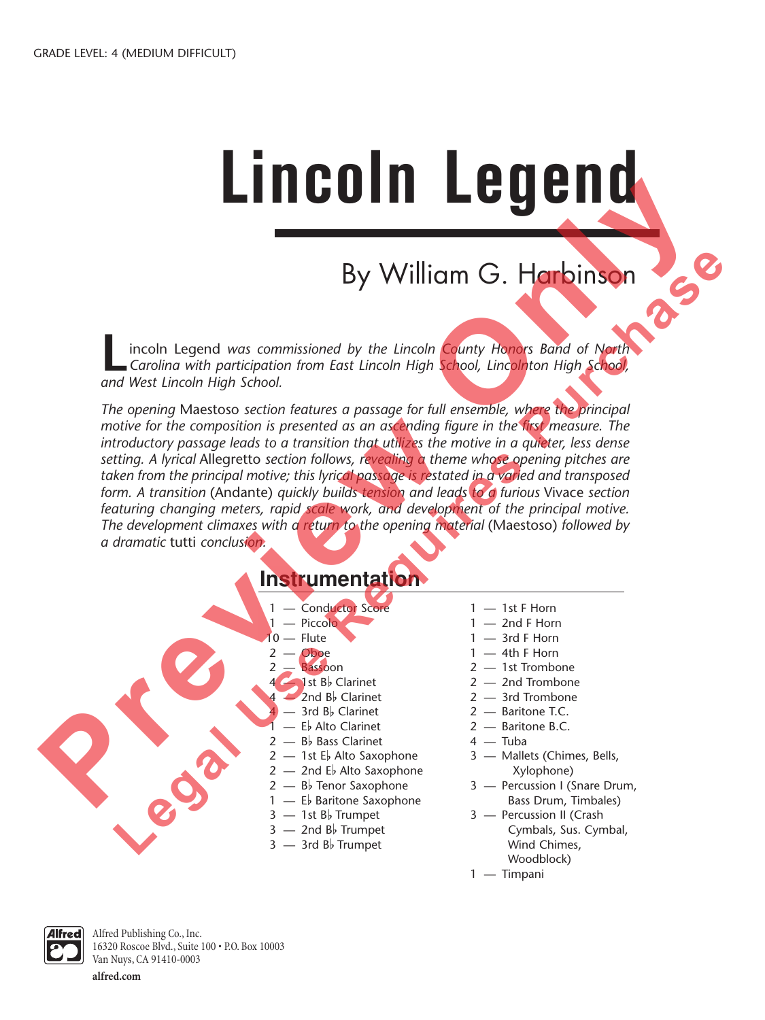## **Lincoln Legend**

## By William G. Harbinson

incoln Legend *was commissioned by the Lincoln County Honors Band of North Carolina with participation from East Lincoln High School, Lincolnton High School,*  **Land West Lincoln Legend was com**<br>**Carolina with participation Carolina West Lincoln High School.** 

*The opening* Maestoso *section features a passage for full ensemble, where the principal motive for the composition is presented as an ascending figure in the first measure. The introductory passage leads to a transition that utilizes the motive in a quieter, less dense setting. A lyrical* Allegretto *section follows, revealing a theme whose opening pitches are taken from the principal motive; this lyrical passage is restated in a varied and transposed form. A transition* (Andante) *quickly builds tension and leads to a furious* Vivace *section featuring changing meters, rapid scale work, and development of the principal motive. The development climaxes with a return to the opening material (Maestoso) followed by a dramatic* tutti *conclusion.*

## **Instrumentation**



1 — Timpani



Alfred Publishing Co., Inc. 16320 Roscoe Blvd., Suite 100 • P.O. Box 10003 Van Nuys, CA 91410-0003

**alfred.com**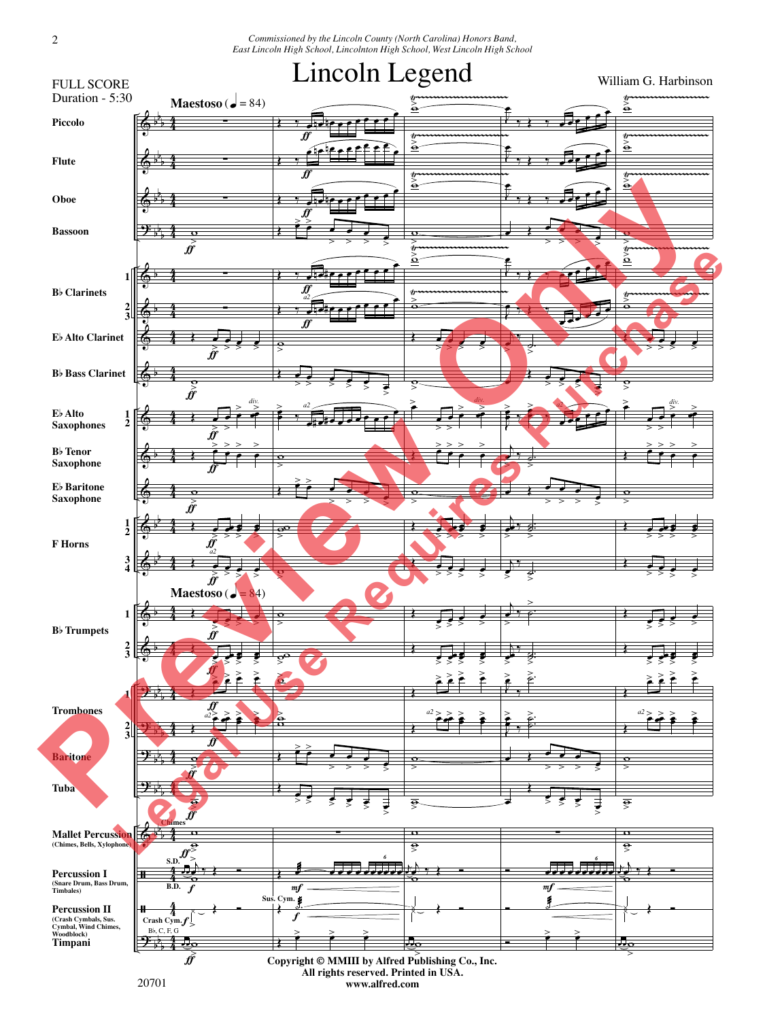*Commissioned by the Lincoln County (North Carolina) Honors Band, East Lincoln High School, Lincolnton High School, West Lincoln High School*

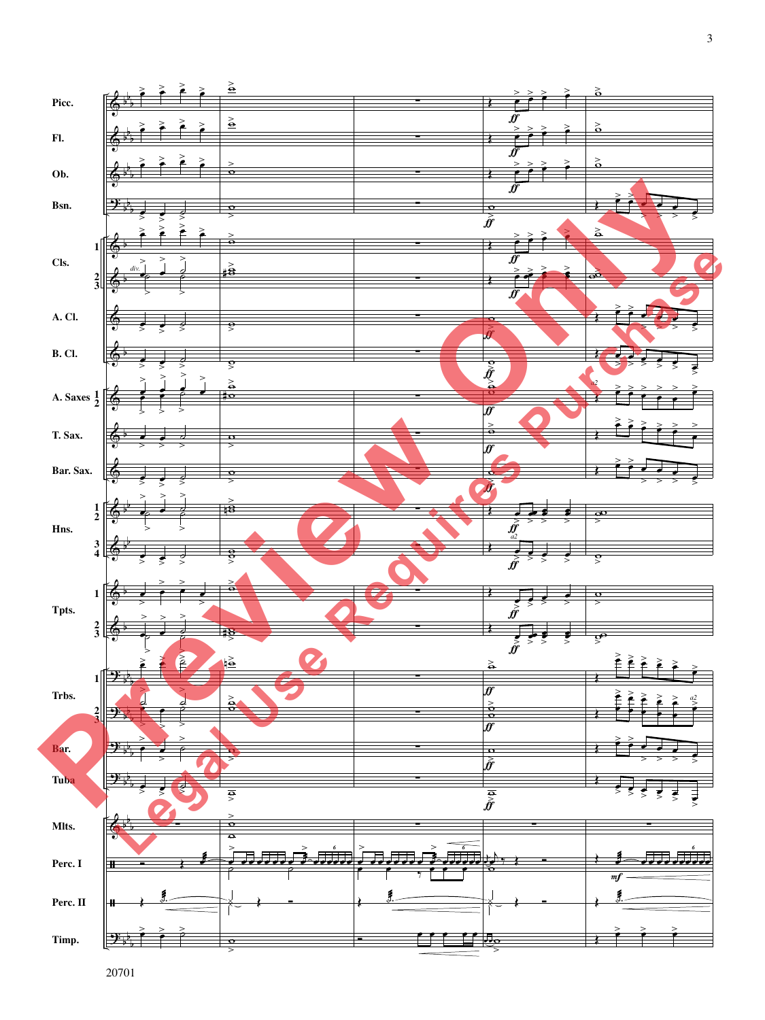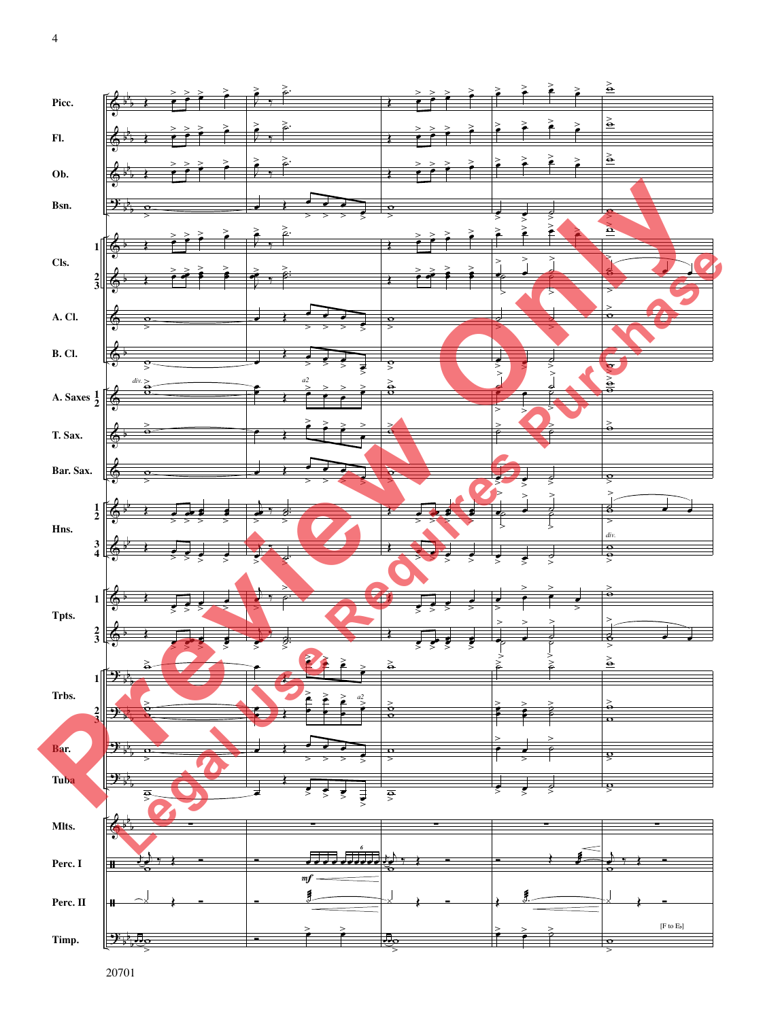

 $\overline{4}$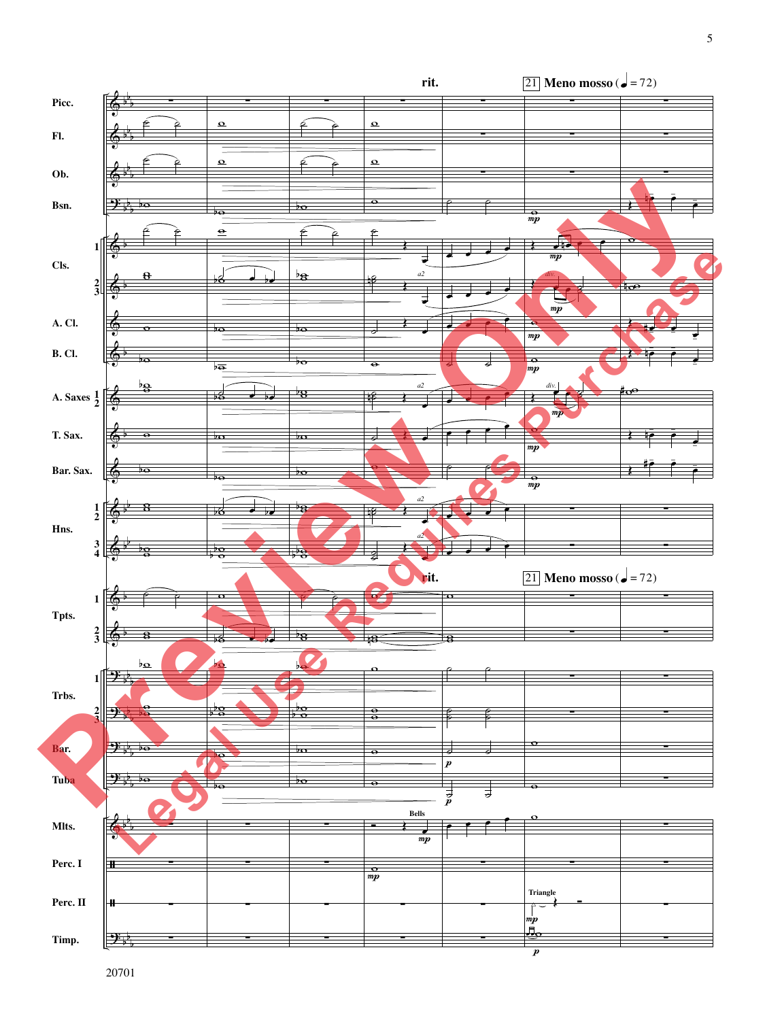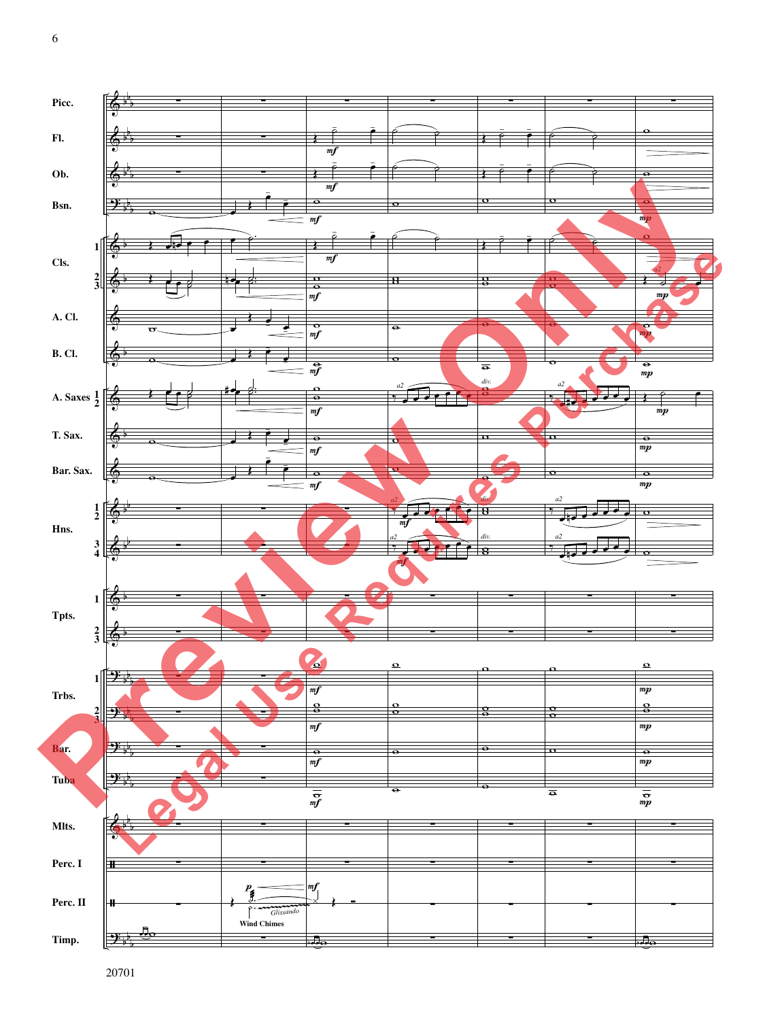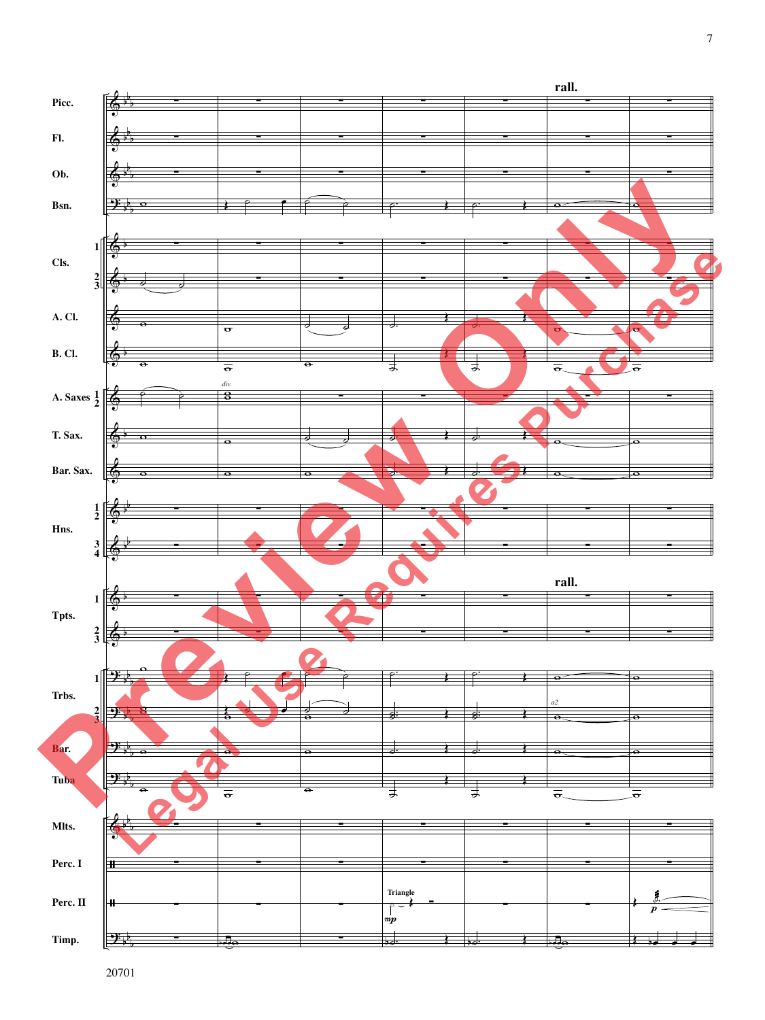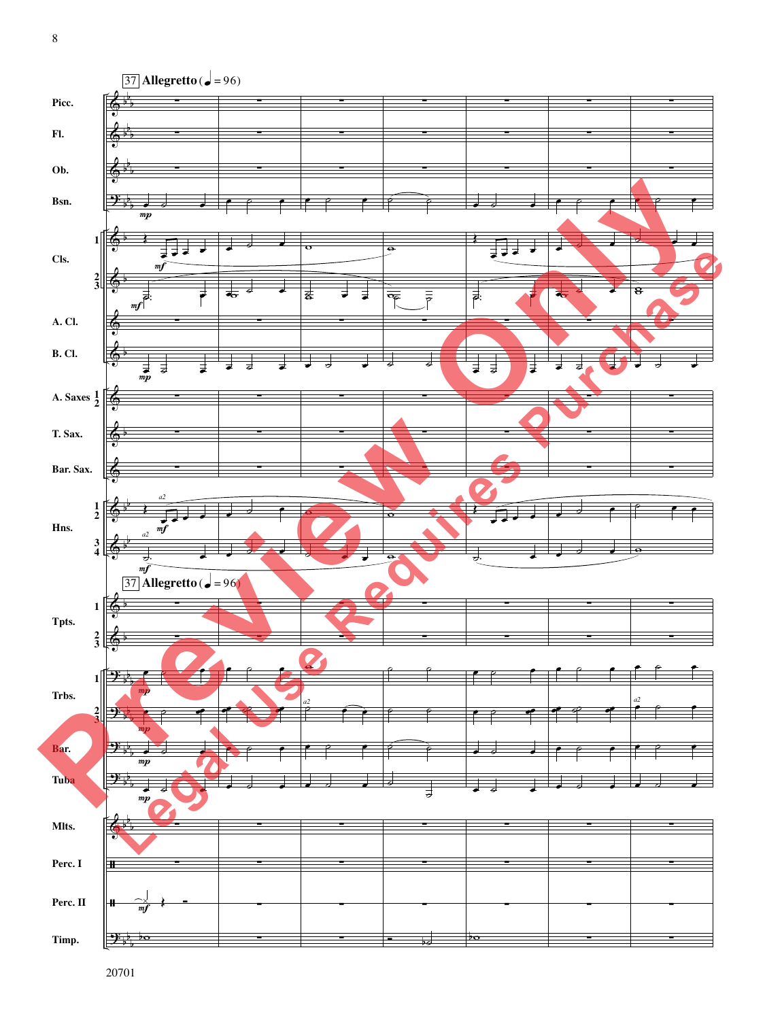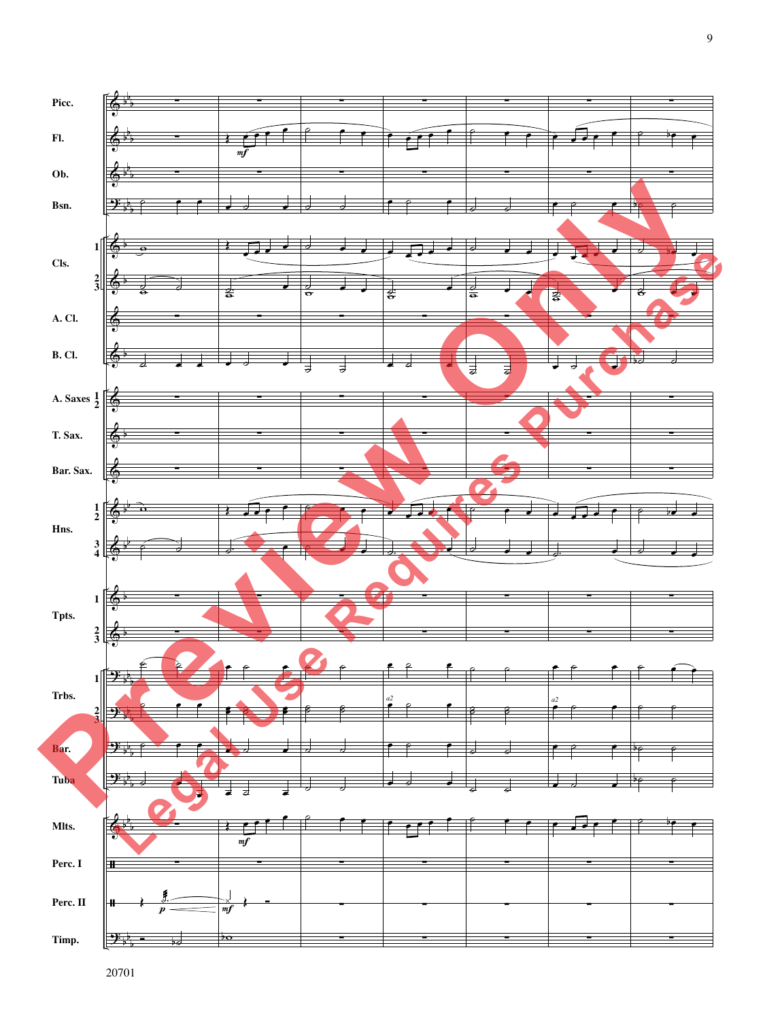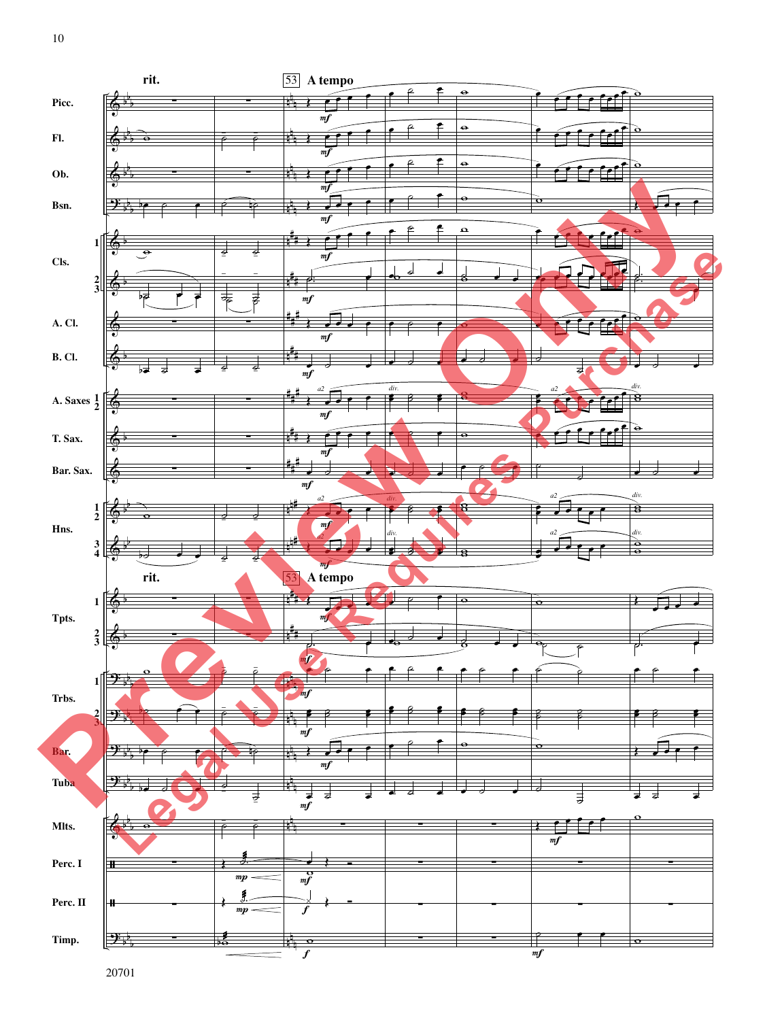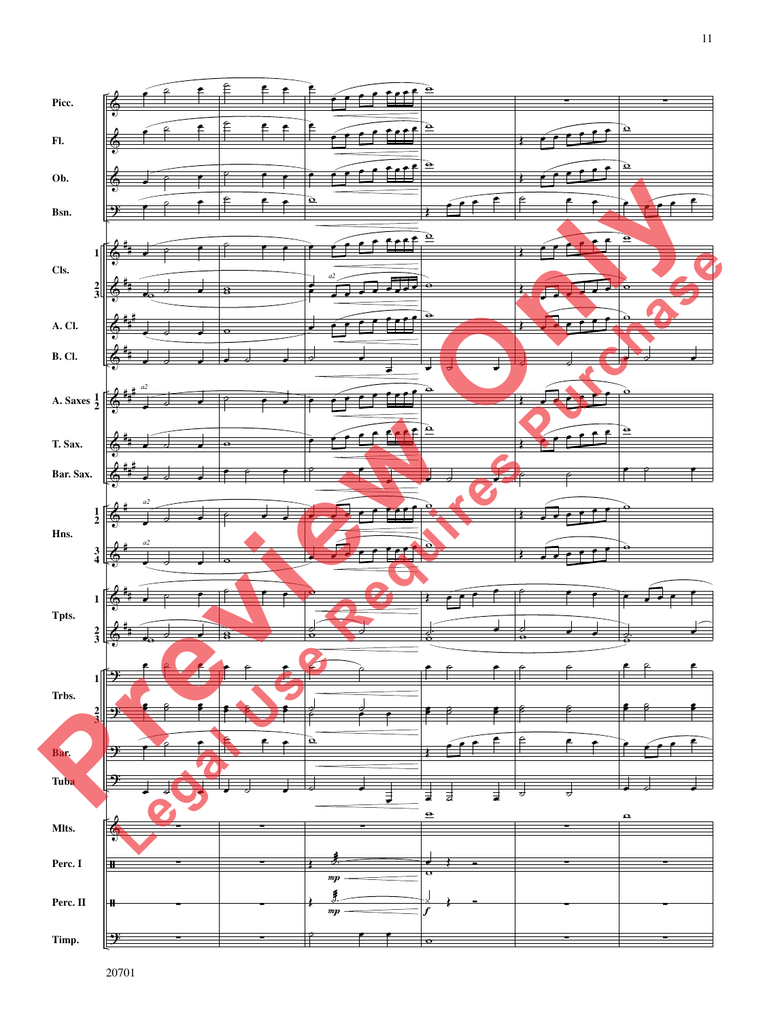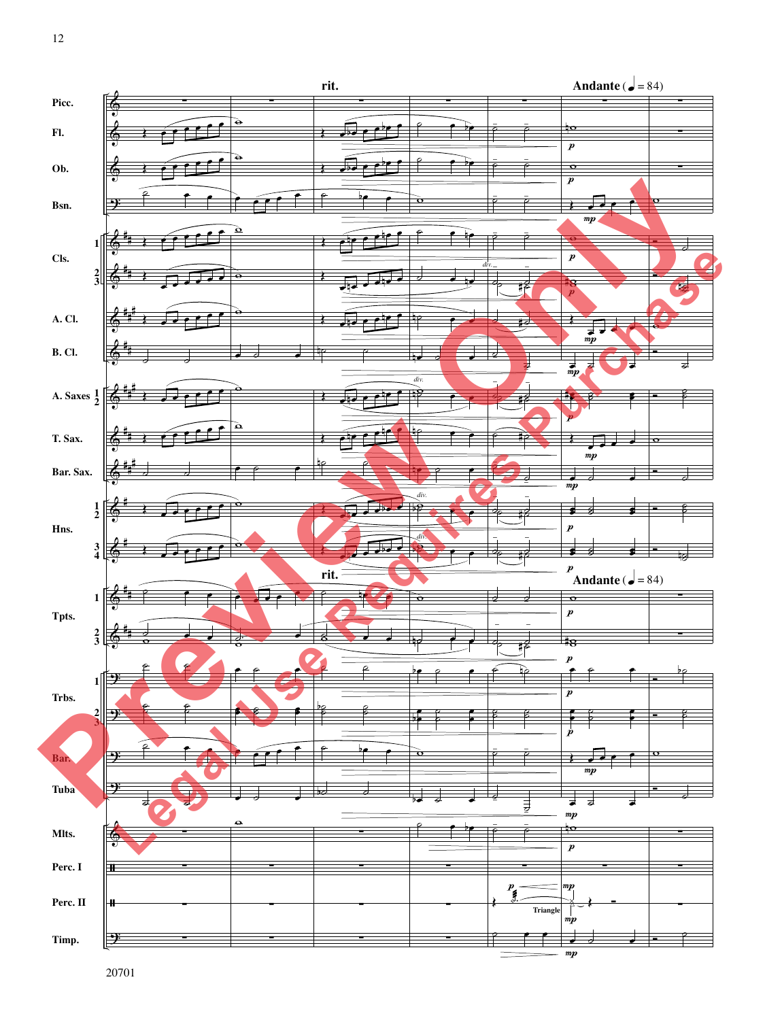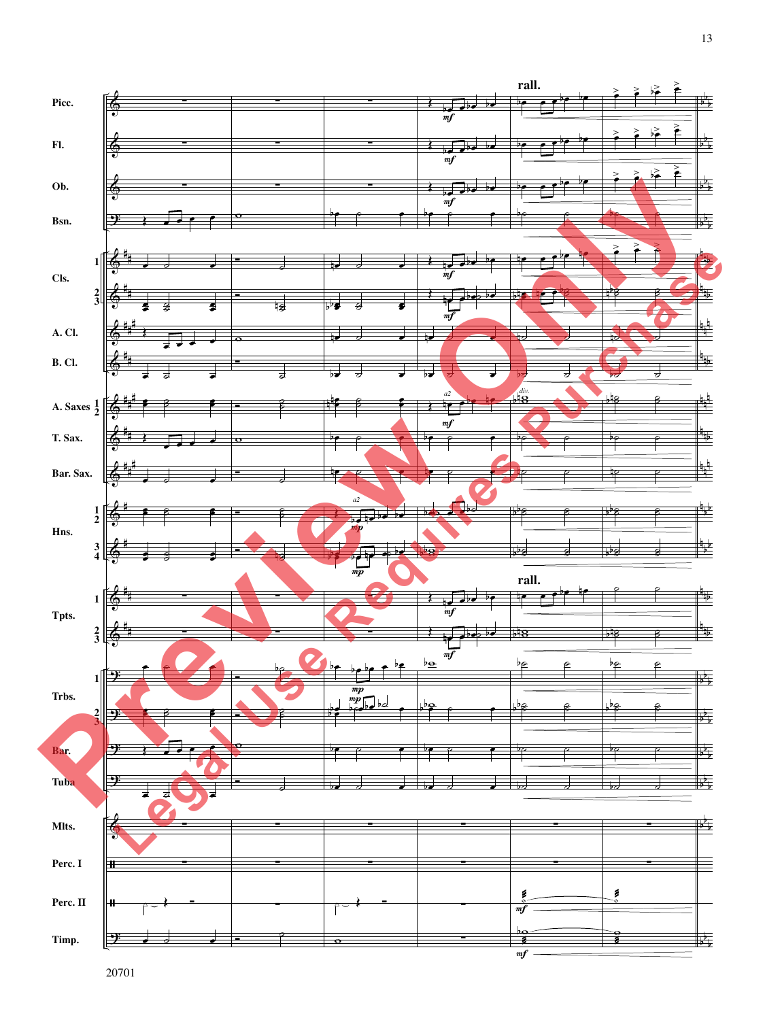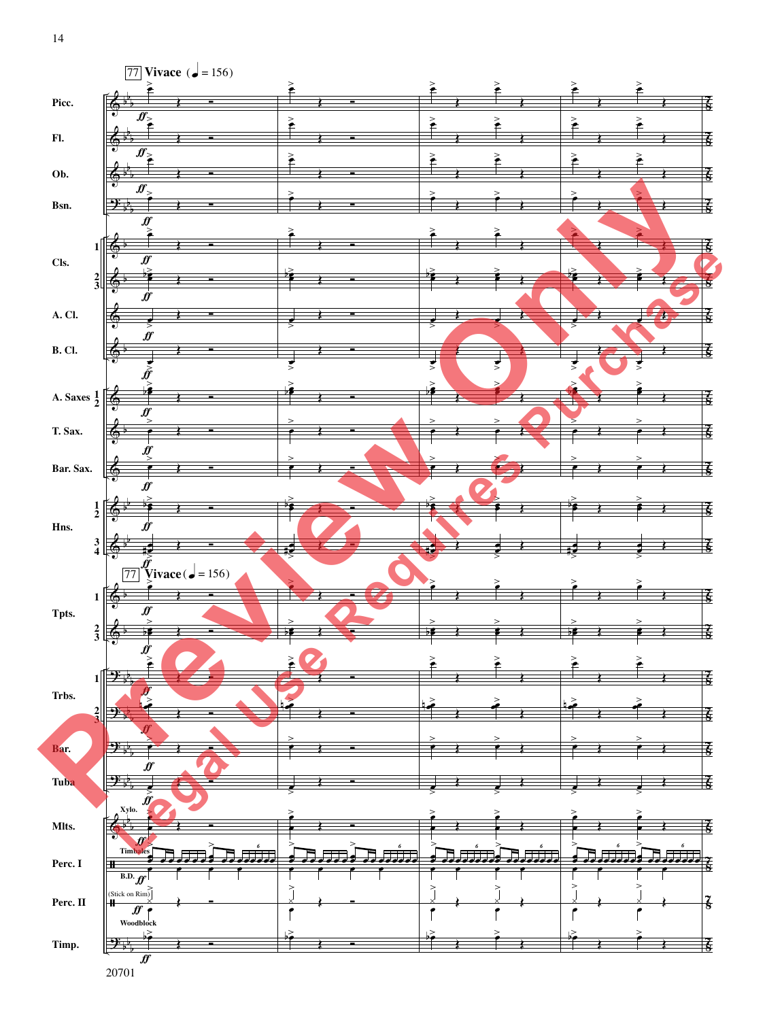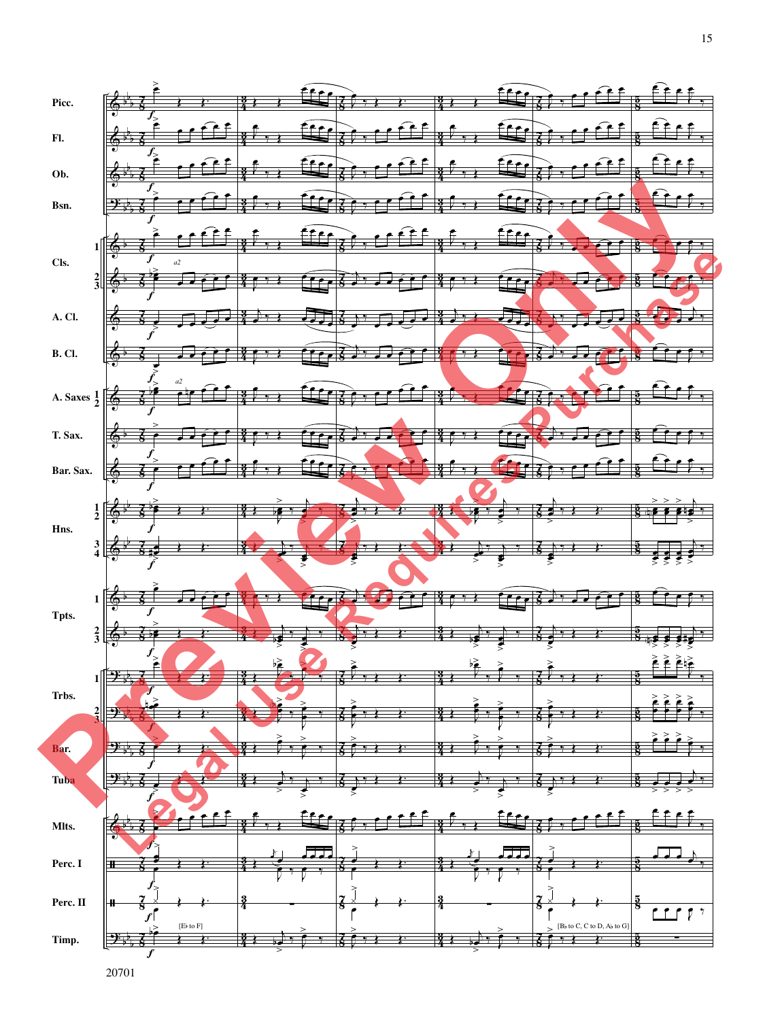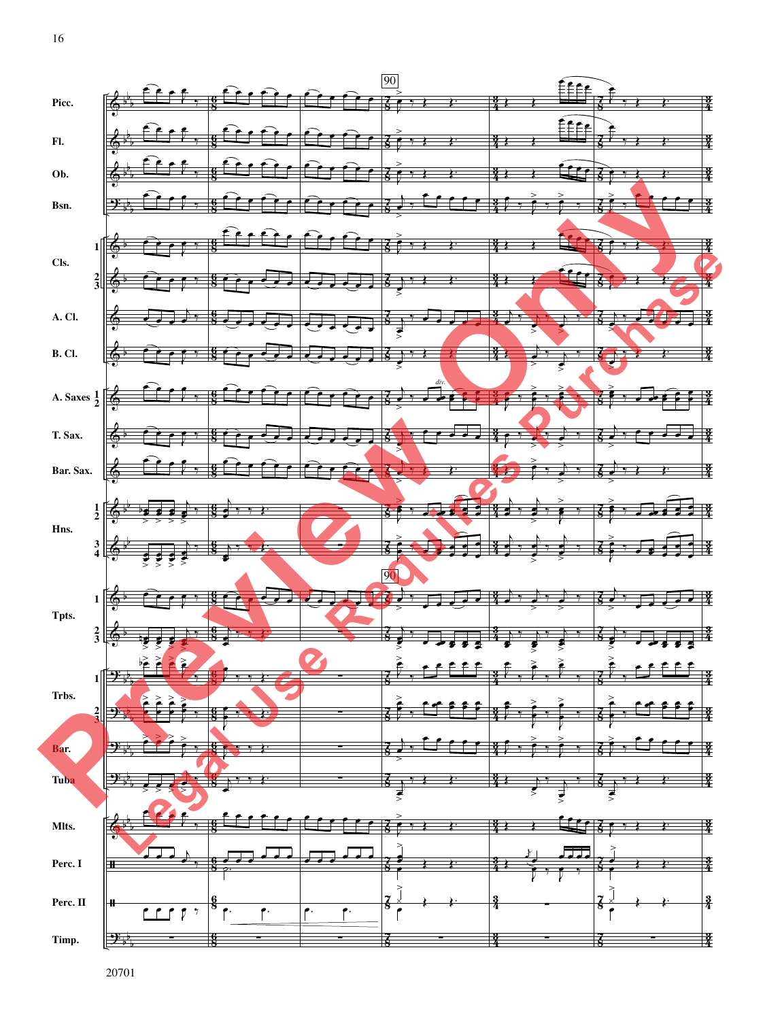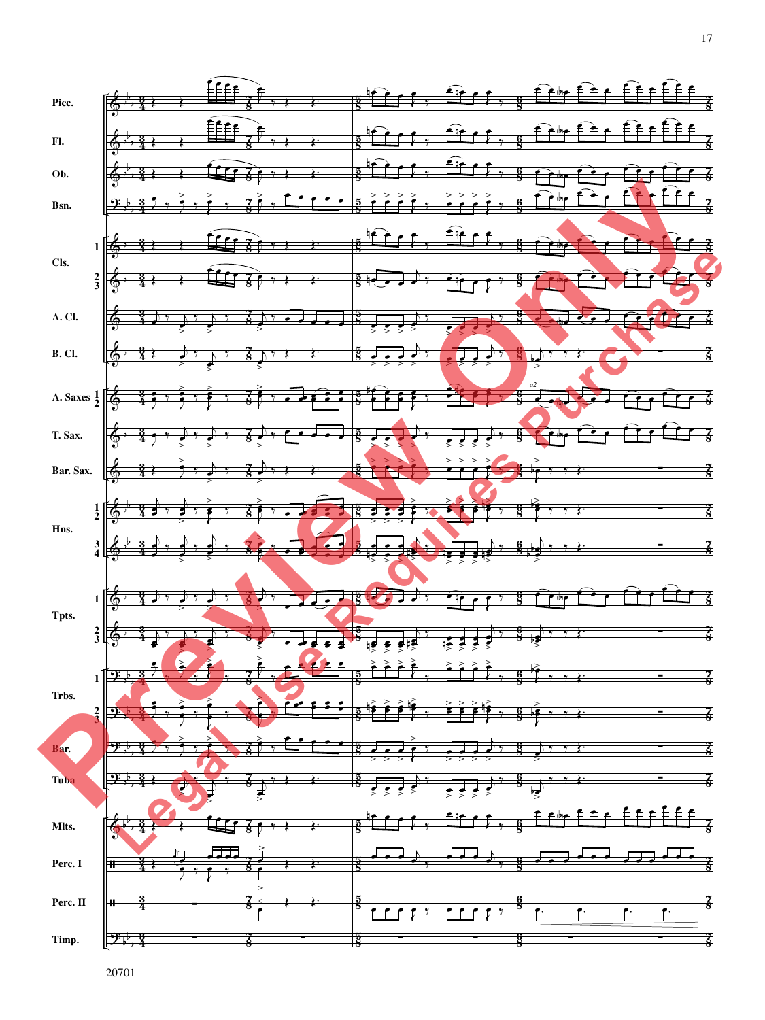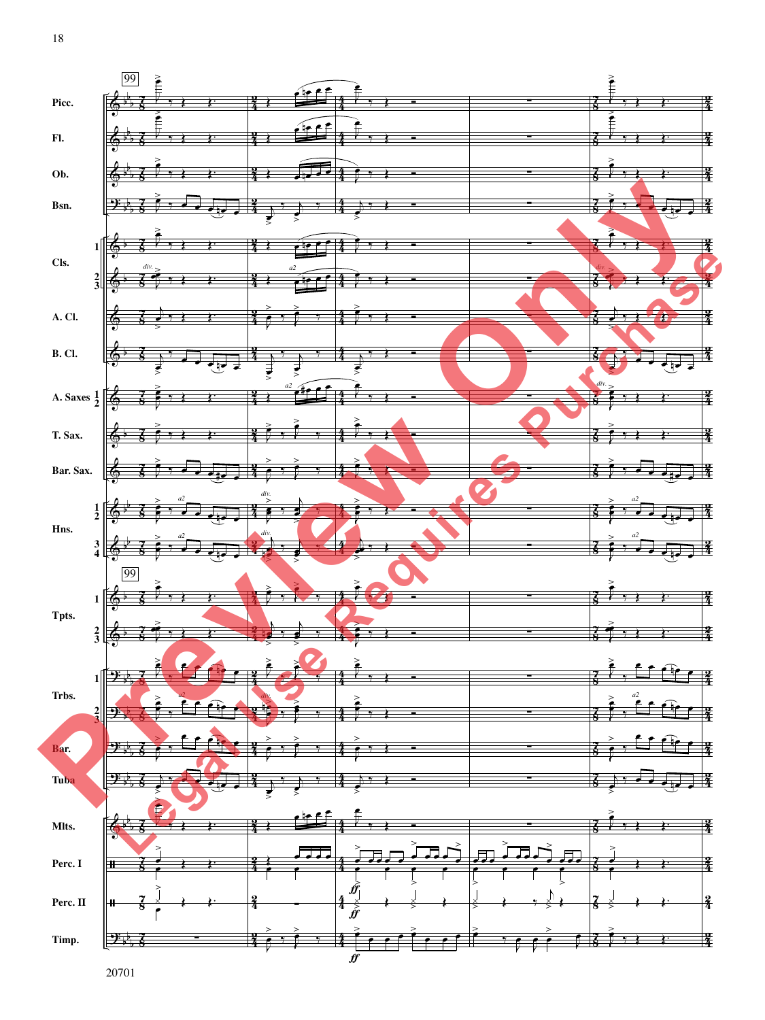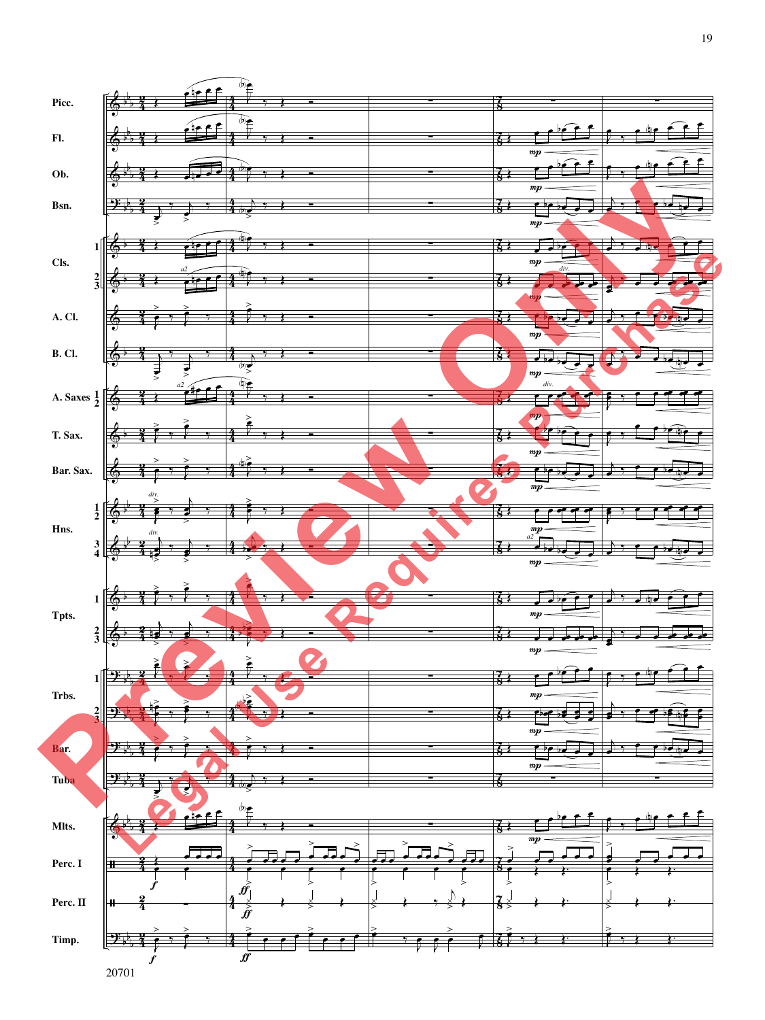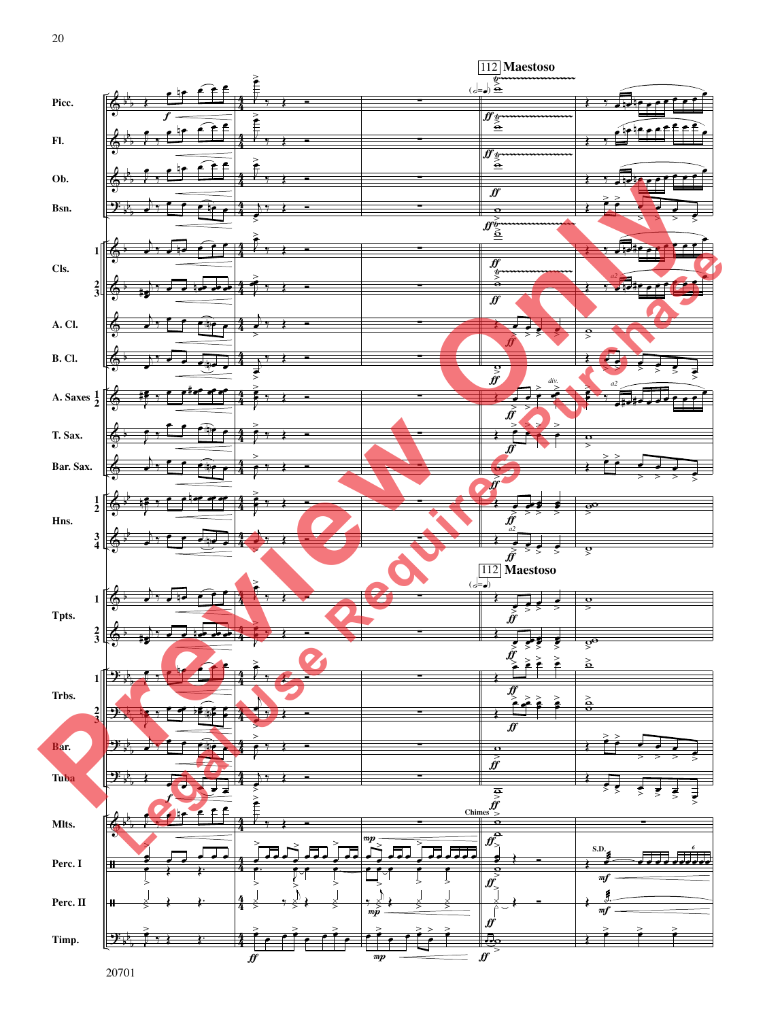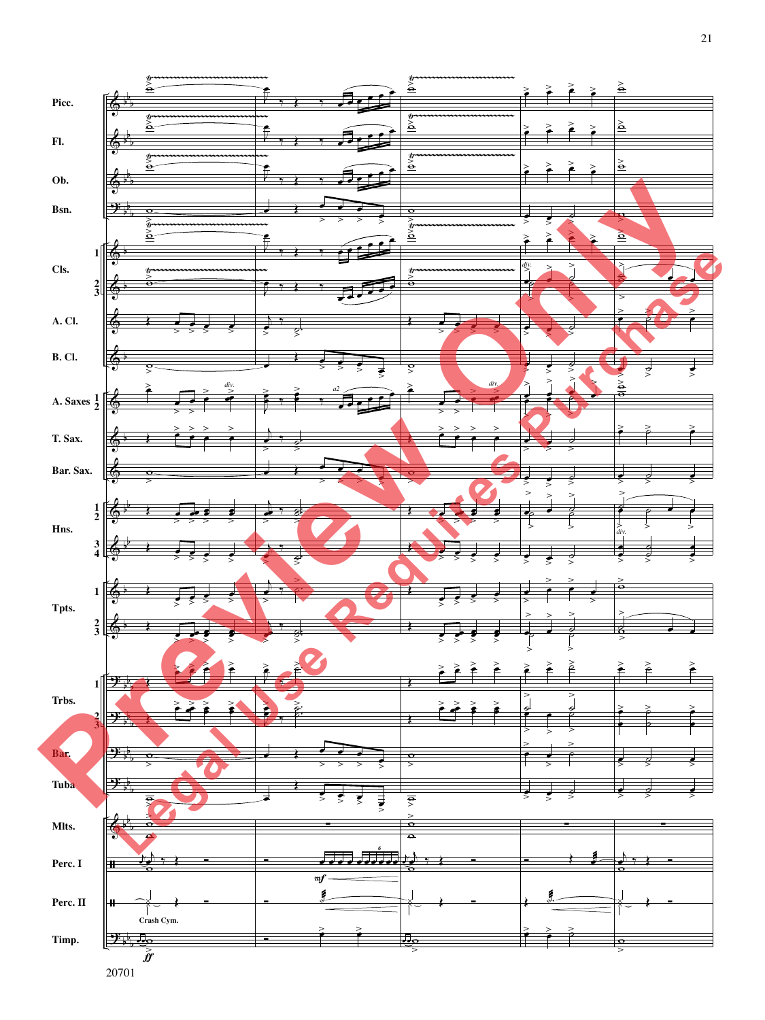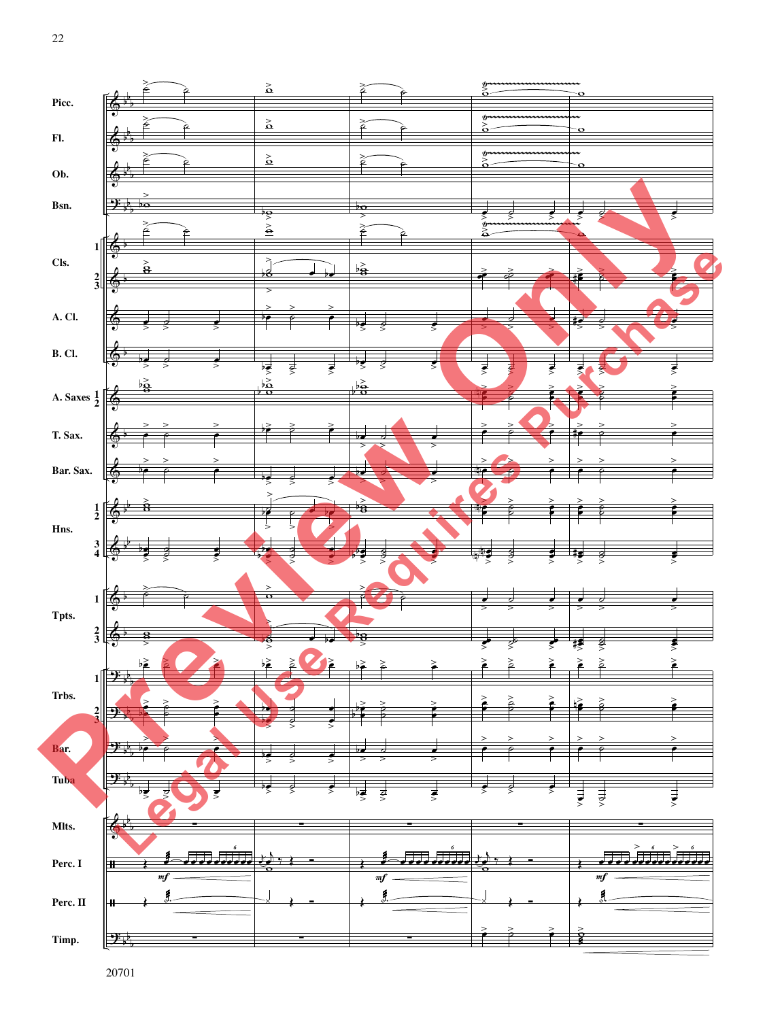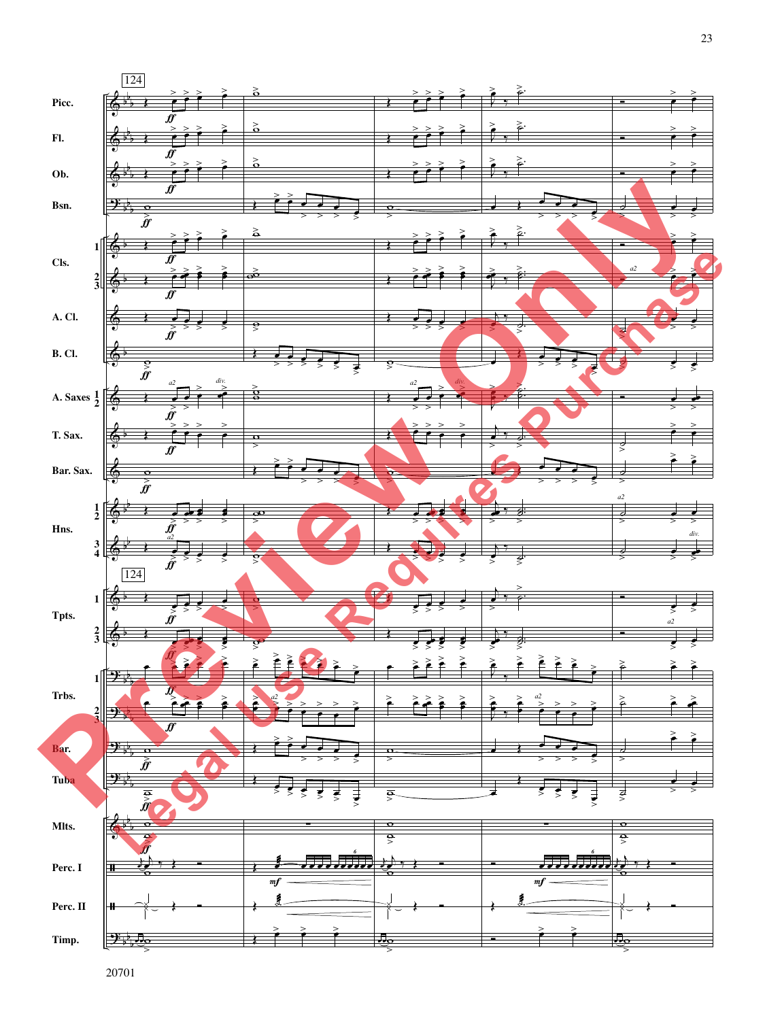